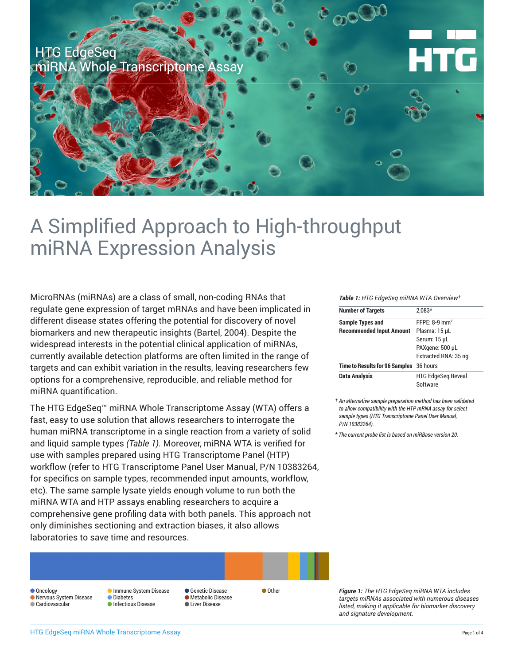

# A Simplified Approach to High-throughput miRNA Expression Analysis

MicroRNAs (miRNAs) are a class of small, non-coding RNAs that regulate gene expression of target mRNAs and have been implicated in different disease states offering the potential for discovery of novel biomarkers and new therapeutic insights (Bartel, 2004). Despite the widespread interests in the potential clinical application of miRNAs, currently available detection platforms are often limited in the range of targets and can exhibit variation in the results, leaving researchers few options for a comprehensive, reproducible, and reliable method for miRNA quantification.

The HTG EdgeSeq™ miRNA Whole Transcriptome Assay (WTA) offers a fast, easy to use solution that allows researchers to interrogate the human miRNA transcriptome in a single reaction from a variety of solid and liquid sample types *(Table 1)*. Moreover, miRNA WTA is verified for use with samples prepared using HTG Transcriptome Panel (HTP) workflow (refer to HTG Transcriptome Panel User Manual, P/N 10383264, for specifics on sample types, recommended input amounts, workflow, etc). The same sample lysate yields enough volume to run both the miRNA WTA and HTP assays enabling researchers to acquire a comprehensive gene profiling data with both panels. This approach not only diminishes sectioning and extraction biases, it also allows laboratories to save time and resources.

#### **Oncology**  Nervous System Disease Cardiovascular **Immune System Disease**  Diabetes **O** Infectious Disease **Genetic Disease**  Metabolic Disease **Liver Disease** ● Other

*Table 1: HTG EdgeSeq miRNA WTA Overview†*

| <b>Number of Targets</b>                | $2.083*$                   |  |
|-----------------------------------------|----------------------------|--|
| <b>Sample Types and</b>                 | $FFPF·8-9$ mm <sup>2</sup> |  |
| <b>Recommended Input Amount</b>         | Plasma: 15 µL              |  |
|                                         | Serum: 15 µL               |  |
|                                         | PAXgene: 500 µL            |  |
|                                         | Extracted RNA: 35 ng       |  |
| Time to Results for 96 Samples 36 hours |                            |  |
| <b>Data Analysis</b>                    | <b>HTG EdgeSeg Reveal</b>  |  |
|                                         | Software                   |  |

*† An alternative sample preparation method has been validated to allow compatibility with the HTP mRNA assay for select sample types (HTG Transcriptome Panel User Manual, P/N 10383264).*

\* *The current probe list is based on miRBase version 20.*

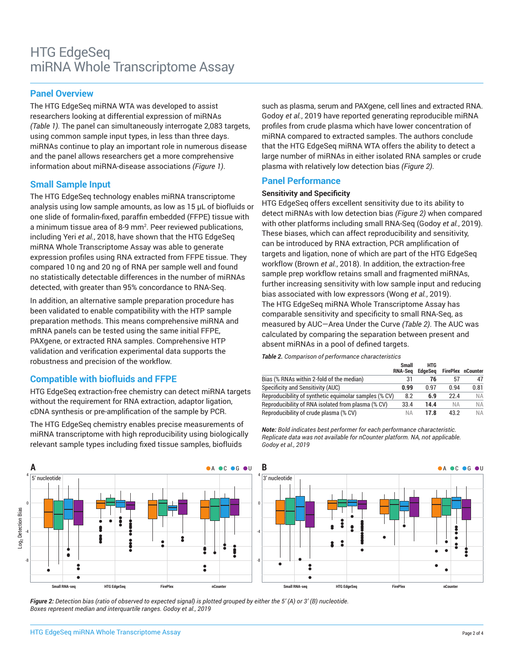## **Panel Overview**

The HTG EdgeSeq miRNA WTA was developed to assist researchers looking at differential expression of miRNAs *(Table 1).* The panel can simultaneously interrogate 2,083 targets, using common sample input types, in less than three days. miRNAs continue to play an important role in numerous disease and the panel allows researchers get a more comprehensive information about miRNA-disease associations *(Figure 1)*.

## **Small Sample Input**

The HTG EdgeSeq technology enables miRNA transcriptome analysis using low sample amounts, as low as 15 µL of biofluids or one slide of formalin-fixed, paraffin embedded (FFPE) tissue with a minimum tissue area of 8-9 mm<sup>2</sup> . Peer reviewed publications, including Yeri *et al.*, 2018, have shown that the HTG EdgeSeq miRNA Whole Transcriptome Assay was able to generate expression profiles using RNA extracted from FFPE tissue. They compared 10 ng and 20 ng of RNA per sample well and found no statistically detectable differences in the number of miRNAs detected, with greater than 95% concordance to RNA-Seq.

In addition, an alternative sample preparation procedure has been validated to enable compatibility with the HTP sample preparation methods. This means comprehensive miRNA and mRNA panels can be tested using the same initial FFPE, PAXgene, or extracted RNA samples. Comprehensive HTP validation and verification experimental data supports the robustness and precision of the workflow.

## **Compatible with biofluids and FFPE**

HTG EdgeSeq extraction-free chemistry can detect miRNA targets without the requirement for RNA extraction, adaptor ligation, cDNA synthesis or pre-amplification of the sample by PCR.

The HTG EdgeSeq chemistry enables precise measurements of miRNA transcriptome with high reproducibility using biologically relevant sample types including fixed tissue samples, biofluids

such as plasma, serum and PAXgene, cell lines and extracted RNA. Godoy *et al.*, 2019 have reported generating reproducible miRNA profiles from crude plasma which have lower concentration of miRNA compared to extracted samples. The authors conclude that the HTG EdgeSeq miRNA WTA offers the ability to detect a large number of miRNAs in either isolated RNA samples or crude plasma with relatively low detection bias *(Figure 2)*.

## **Panel Performance**

#### **Sensitivity and Specificity**

HTG EdgeSeq offers excellent sensitivity due to its ability to detect miRNAs with low detection bias *(Figure 2)* when compared with other platforms including small RNA-Seq (Godoy *et al.*, 2019). These biases, which can affect reproducibility and sensitivity, can be introduced by RNA extraction, PCR amplification of targets and ligation, none of which are part of the HTG EdgeSeq workflow (Brown *et al.*, 2018). In addition, the extraction-free sample prep workflow retains small and fragmented miRNAs, further increasing sensitivity with low sample input and reducing bias associated with low expressors (Wong *et al.*, 2019). The HTG EdgeSeq miRNA Whole Transcriptome Assay has comparable sensitivity and specificity to small RNA-Seq, as measured by AUC—Area Under the Curve *(Table 2)*. The AUC was calculated by comparing the separation between present and absent miRNAs in a pool of defined targets.

*Table 2. Comparison of performance characteristics* 

|                                                       | <b>Small</b><br><b>RNA-Sea</b> | HTG<br><b>EdaeSea</b> |           | <b>FirePlex nCounter</b> |
|-------------------------------------------------------|--------------------------------|-----------------------|-----------|--------------------------|
| Bias (% RNAs within 2-fold of the median)             | 31                             | 76                    | 57        |                          |
| Specificity and Sensitivity (AUC)                     | 0.99                           | በ 97                  | በ 94      | 0.81                     |
| Reproducibility of synthetic equimolar samples (% CV) | 8.2                            | 6.9                   | 224       | <b>NA</b>                |
| Reproducibility of RNA isolated from plasma (% CV)    | 33.4                           | 14.4                  | <b>NA</b> | <b>NA</b>                |
| Reproducibility of crude plasma (% CV)                | NА                             | 17.8                  | 43.2      | <b>NA</b>                |

*Note: Bold indicates best performer for each performance characteristic. Replicate data was not available for nCounter platform. NA, not applicable. Godoy et al., 2019*



*Figure 2: Detection bias (ratio of observed to expected signal) is plotted grouped by either the 5' (A) or 3' (B) nucleotide. Boxes represent median and interquartile ranges. Godoy et al., 2019*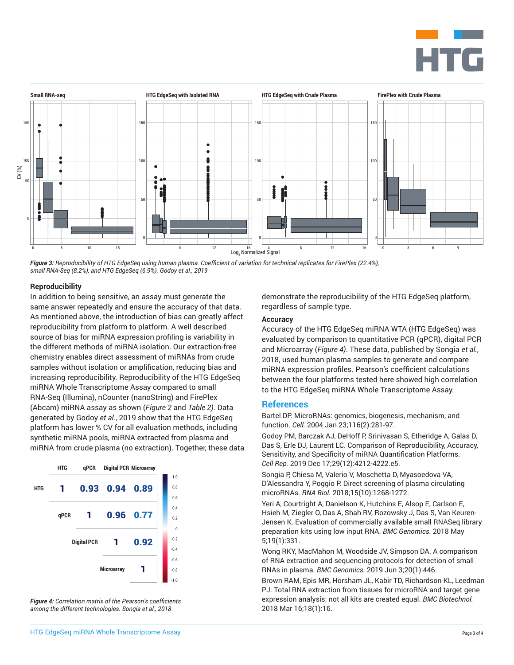



*Figure 3: Reproducibility of HTG EdgeSeq using human plasma. Coefficient of variation for technical replicates for FirePlex (22.4%), small RNA-Seq (8.2%), and HTG EdgeSeq (6.9%). Godoy et al., 2019*

#### **Reproducibility**

In addition to being sensitive, an assay must generate the same answer repeatedly and ensure the accuracy of that data. As mentioned above, the introduction of bias can greatly affect reproducibility from platform to platform. A well described source of bias for miRNA expression profiling is variability in the different methods of miRNA isolation. Our extraction-free chemistry enables direct assessment of miRNAs from crude samples without isolation or amplification, reducing bias and increasing reproducibility. Reproducibility of the HTG EdgeSeq miRNA Whole Transcriptome Assay compared to small RNA-Seq (Illumina), nCounter (nanoString) and FirePlex (Abcam) miRNA assay as shown (*Figure 2* and *Table 2)*. Data generated by Godoy *et al.*, 2019 show that the HTG EdgeSeq platform has lower % CV for all evaluation methods, including synthetic miRNA pools, miRNA extracted from plasma and miRNA from crude plasma (no extraction). Together, these data



*Figure 4: Correlation matrix of the Pearson's coefficients among the different technologies. Songia et al., 2018*

demonstrate the reproducibility of the HTG EdgeSeq platform, regardless of sample type.

#### **Accuracy**

Accuracy of the HTG EdgeSeq miRNA WTA (HTG EdgeSeq) was evaluated by comparison to quantitative PCR (qPCR), digital PCR and Microarray (*Figure 4)*. These data, published by Songia *et al.*, 2018, used human plasma samples to generate and compare miRNA expression profiles. Pearson's coefficient calculations between the four platforms tested here showed high correlation to the HTG EdgeSeq miRNA Whole Transcriptome Assay.

#### **References**

Bartel DP. MicroRNAs: genomics, biogenesis, mechanism, and function. *Cell.* 2004 Jan 23;116(2):281-97.

Godoy PM, Barczak AJ, DeHoff P, Srinivasan S, Etheridge A, Galas D, Das S, Erle DJ, Laurent LC. Comparison of Reproducibility, Accuracy, Sensitivity, and Specificity of miRNA Quantification Platforms. *Cell Rep.* 2019 Dec 17;29(12):4212-4222.e5.

Songia P, Chiesa M, Valerio V, Moschetta D, Myasoedova VA, D'Alessandra Y, Poggio P. Direct screening of plasma circulating microRNAs. *RNA Biol.* 2018;15(10):1268-1272.

Yeri A, Courtright A, Danielson K, Hutchins E, Alsop E, Carlson E, Hsieh M, Ziegler O, Das A, Shah RV, Rozowsky J, Das S, Van Keuren-Jensen K. Evaluation of commercially available small RNASeq library preparation kits using low input RNA. *BMC Genomics.* 2018 May 5;19(1):331.

Wong RKY, MacMahon M, Woodside JV, Simpson DA. A comparison of RNA extraction and sequencing protocols for detection of small RNAs in plasma. *BMC Genomics.* 2019 Jun 3;20(1):446.

Brown RAM, Epis MR, Horsham JL, Kabir TD, Richardson KL, Leedman PJ. Total RNA extraction from tissues for microRNA and target gene expression analysis: not all kits are created equal. *BMC Biotechnol.*  2018 Mar 16;18(1):16.